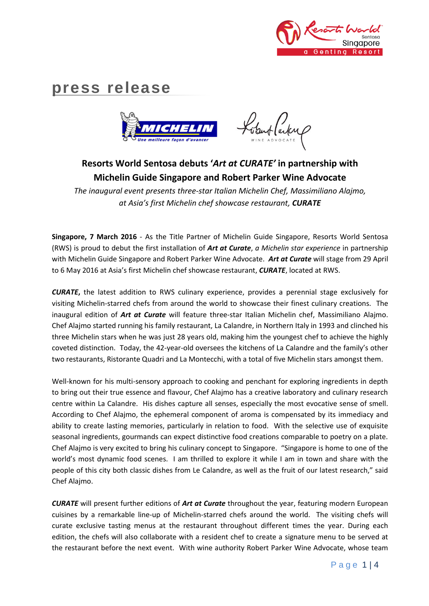

# **press release**



ubut larkup

# **Resorts World Sentosa debuts '***Art at CURATE'* **in partnership with Michelin Guide Singapore and Robert Parker Wine Advocate**

*The inaugural event presents three-star Italian Michelin Chef, Massimiliano Alajmo, at Asia's first Michelin chef showcase restaurant, CURATE*

**Singapore, 7 March 2016** - As the Title Partner of Michelin Guide Singapore, Resorts World Sentosa (RWS) is proud to debut the first installation of *Art at Curate*, *a Michelin star experience* in partnership with Michelin Guide Singapore and Robert Parker Wine Advocate. *Art at Curate* will stage from 29 April to 6 May 2016 at Asia's first Michelin chef showcase restaurant, *CURATE*, located at RWS.

*CURATE***,** the latest addition to RWS culinary experience, provides a perennial stage exclusively for visiting Michelin-starred chefs from around the world to showcase their finest culinary creations. The inaugural edition of *Art at Curate* will feature three-star Italian Michelin chef, Massimiliano Alajmo. Chef Alajmo started running his family restaurant, La Calandre, in Northern Italy in 1993 and clinched his three Michelin stars when he was just 28 years old, making him the youngest chef to achieve the highly coveted distinction. Today, the 42-year-old oversees the kitchens of La Calandre and the family's other two restaurants, Ristorante Quadri and La Montecchi, with a total of five Michelin stars amongst them.

Well-known for his multi-sensory approach to cooking and penchant for exploring ingredients in depth to bring out their true essence and flavour, Chef Alajmo has a creative laboratory and culinary research centre within La Calandre. His dishes capture all senses, especially the most evocative sense of smell. According to Chef Alajmo, the ephemeral component of aroma is compensated by its immediacy and ability to create lasting memories, particularly in relation to food. With the selective use of exquisite seasonal ingredients, gourmands can expect distinctive food creations comparable to poetry on a plate. Chef Alajmo is very excited to bring his culinary concept to Singapore. "Singapore is home to one of the world's most dynamic food scenes. I am thrilled to explore it while I am in town and share with the people of this city both classic dishes from Le Calandre, as well as the fruit of our latest research," said Chef Alajmo.

*CURATE* will present further editions of *Art at Curate* throughout the year, featuring modern European cuisines by a remarkable line-up of Michelin-starred chefs around the world. The visiting chefs will curate exclusive tasting menus at the restaurant throughout different times the year. During each edition, the chefs will also collaborate with a resident chef to create a signature menu to be served at the restaurant before the next event. With wine authority Robert Parker Wine Advocate, whose team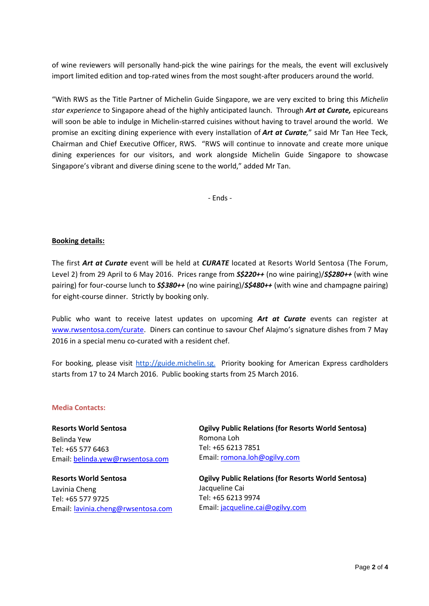of wine reviewers will personally hand-pick the wine pairings for the meals, the event will exclusively import limited edition and top-rated wines from the most sought-after producers around the world.

"With RWS as the Title Partner of Michelin Guide Singapore, we are very excited to bring this *Michelin star experience* to Singapore ahead of the highly anticipated launch. Through *Art at Curate,* epicureans will soon be able to indulge in Michelin-starred cuisines without having to travel around the world. We promise an exciting dining experience with every installation of *Art at Curate,*" said Mr Tan Hee Teck, Chairman and Chief Executive Officer, RWS. "RWS will continue to innovate and create more unique dining experiences for our visitors, and work alongside Michelin Guide Singapore to showcase Singapore's vibrant and diverse dining scene to the world," added Mr Tan.

- Ends -

## **Booking details:**

The first *Art at Curate* event will be held at *CURATE* located at Resorts World Sentosa (The Forum, Level 2) from 29 April to 6 May 2016. Prices range from *S\$220++* (no wine pairing)/*S\$280++* (with wine pairing) for four-course lunch to *S\$380++* (no wine pairing)/*S\$480++* (with wine and champagne pairing) for eight-course dinner. Strictly by booking only.

Public who want to receive latest updates on upcoming *Art at Curate* events can register at [www.rwsentosa.com/curate.](http://www.rwsentosa.com/curate) Diners can continue to savour Chef Alajmo's signature dishes from 7 May 2016 in a special menu co-curated with a resident chef.

For booking, please visit [http://guide.michelin.sg.](http://guide.michelin.sg/) Priority booking for American Express cardholders starts from 17 to 24 March 2016. Public booking starts from 25 March 2016.

#### **Media Contacts:**

**Resorts World Sentosa** Belinda Yew Tel: +65 577 6463 Email: [belinda.yew@rwsentosa.com](mailto:belinda.yew@rwsentosa.com)

**Resorts World Sentosa** Lavinia Cheng Tel: +65 577 9725 Email: [lavinia.cheng@rwsentosa.com](mailto:lavinia.cheng@rwsentosa.com) **Ogilvy Public Relations (for Resorts World Sentosa)**  Romona Loh Tel: +65 6213 7851 Email: [romona.loh@ogilvy.com](mailto:romona.loh@ogilvy.com)

**Ogilvy Public Relations (for Resorts World Sentosa)**  Jacqueline Cai Tel: +65 6213 9974 Email: [jacqueline.cai@ogilvy.com](mailto:jacqueline.cai@ogilvy.com)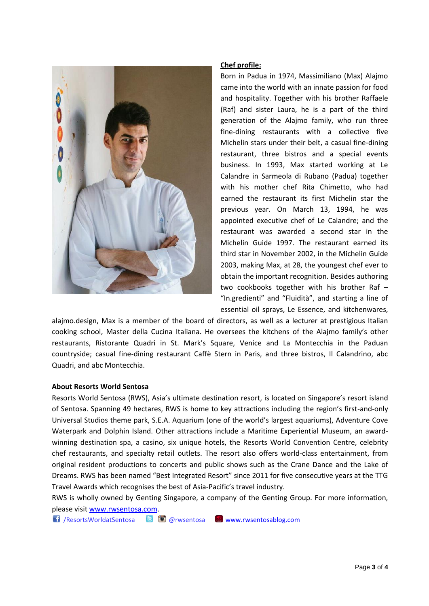

## **Chef profile:**

Born in Padua in 1974, Massimiliano (Max) Alajmo came into the world with an innate passion for food and hospitality. Together with his brother Raffaele (Raf) and sister Laura, he is a part of the third generation of the Alajmo family, who run three fine-dining restaurants with a collective five Michelin stars under their belt, a casual fine-dining restaurant, three bistros and a special events business. In 1993, Max started working at Le Calandre in Sarmeola di Rubano (Padua) together with his mother chef Rita Chimetto, who had earned the restaurant its first Michelin star the previous year. On March 13, 1994, he was appointed executive chef of Le Calandre; and the restaurant was awarded a second star in the Michelin Guide 1997. The restaurant earned its third star in November 2002, in the Michelin Guide 2003, making Max, at 28, the youngest chef ever to obtain the important recognition. Besides authoring two cookbooks together with his brother Raf – "In.gredienti" and "Fluidità", and starting a line of essential oil sprays, Le Essence, and kitchenwares,

alajmo.design, Max is a member of the board of directors, as well as a lecturer at prestigious Italian cooking school, Master della Cucina Italiana. He oversees the kitchens of the Alajmo family's other restaurants, Ristorante Quadri in St. Mark's Square, Venice and La Montecchia in the Paduan countryside; casual fine-dining restaurant Caffè Stern in Paris, and three bistros, Il Calandrino, abc Quadri, and abc Montecchia.

#### **About Resorts World Sentosa**

Resorts World Sentosa (RWS), Asia's ultimate destination resort, is located on Singapore's resort island of Sentosa. Spanning 49 hectares, RWS is home to key attractions including the region's first-and-only Universal Studios theme park, S.E.A. Aquarium (one of the world's largest aquariums), Adventure Cove Waterpark and Dolphin Island. Other attractions include a Maritime Experiential Museum, an awardwinning destination spa, a casino, six unique hotels, the Resorts World Convention Centre, celebrity chef restaurants, and specialty retail outlets. The resort also offers world-class entertainment, from original resident productions to concerts and public shows such as the Crane Dance and the Lake of Dreams. RWS has been named "Best Integrated Resort" since 2011 for five consecutive years at the TTG Travel Awards which recognises the best of Asia-Pacific's travel industry.

RWS is wholly owned by Genting Singapore, a company of the Genting Group. For more information, please visit [www.rwsentosa.com.](http://www.rwsentosa.com/)

/ResortsWorldatSentosa @rwsentosa [www.rwsentosablog.com](http://www.rwsentosablog.com/)